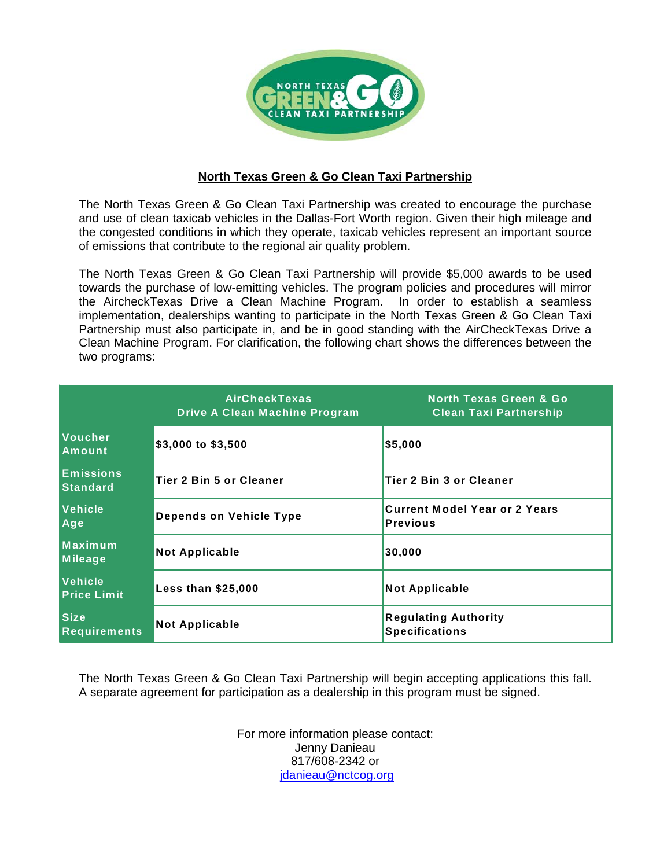

## **North Texas Green & Go Clean Taxi Partnership**

The North Texas Green & Go Clean Taxi Partnership was created to encourage the purchase and use of clean taxicab vehicles in the Dallas-Fort Worth region. Given their high mileage and the congested conditions in which they operate, taxicab vehicles represent an important source of emissions that contribute to the regional air quality problem.

The North Texas Green & Go Clean Taxi Partnership will provide \$5,000 awards to be used towards the purchase of low-emitting vehicles. The program policies and procedures will mirror the AircheckTexas Drive a Clean Machine Program. In order to establish a seamless implementation, dealerships wanting to participate in the North Texas Green & Go Clean Taxi Partnership must also participate in, and be in good standing with the AirCheckTexas Drive a Clean Machine Program. For clarification, the following chart shows the differences between the two programs:

|                                     | <b>AirCheckTexas</b><br><b>Drive A Clean Machine Program</b> | <b>North Texas Green &amp; Go</b><br><b>Clean Taxi Partnership</b> |
|-------------------------------------|--------------------------------------------------------------|--------------------------------------------------------------------|
| Voucher<br>Amount                   | $$3,000$ to $$3,500$                                         | \$5,000                                                            |
| <b>Emissions</b><br><b>Standard</b> | Tier 2 Bin 5 or Cleaner                                      | <b>Tier 2 Bin 3 or Cleaner</b>                                     |
| Vehicle<br>Age                      | <b>Depends on Vehicle Type</b>                               | <b>Current Model Year or 2 Years</b><br><b>Previous</b>            |
| Maximum<br>Mileage                  | <b>Not Applicable</b>                                        | 30,000                                                             |
| Vehicle<br><b>Price Limit</b>       | <b>Less than \$25,000</b>                                    | <b>Not Applicable</b>                                              |
| <b>Size</b><br>Requirements         | <b>Not Applicable</b>                                        | <b>Regulating Authority</b><br><b>Specifications</b>               |

The North Texas Green & Go Clean Taxi Partnership will begin accepting applications this fall. A separate agreement for participation as a dealership in this program must be signed.

> For more information please contact: Jenny Danieau 817/608-2342 or jdanieau@nctcog.org